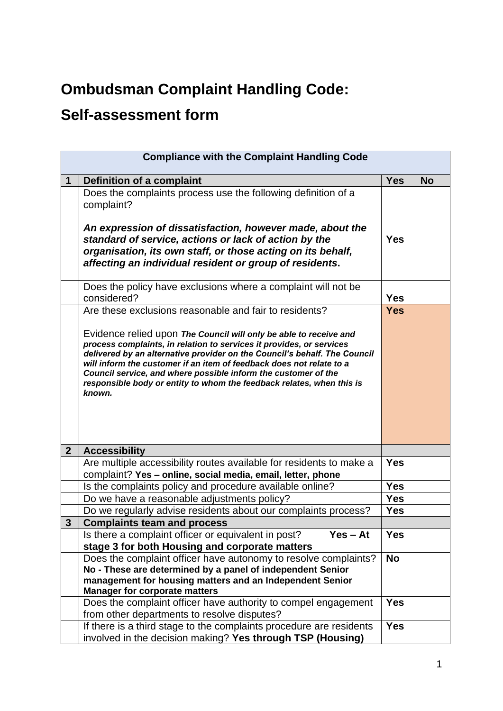## **Ombudsman Complaint Handling Code:**

## **Self-assessment form**

| <b>Compliance with the Complaint Handling Code</b> |                                                                                                                                                                                                                                                                                                                                                                                                                                                                                                               |            |           |
|----------------------------------------------------|---------------------------------------------------------------------------------------------------------------------------------------------------------------------------------------------------------------------------------------------------------------------------------------------------------------------------------------------------------------------------------------------------------------------------------------------------------------------------------------------------------------|------------|-----------|
| 1                                                  | <b>Definition of a complaint</b>                                                                                                                                                                                                                                                                                                                                                                                                                                                                              | <b>Yes</b> | <b>No</b> |
|                                                    | Does the complaints process use the following definition of a<br>complaint?<br>An expression of dissatisfaction, however made, about the<br>standard of service, actions or lack of action by the<br>organisation, its own staff, or those acting on its behalf,<br>affecting an individual resident or group of residents.                                                                                                                                                                                   | <b>Yes</b> |           |
|                                                    | Does the policy have exclusions where a complaint will not be<br>considered?                                                                                                                                                                                                                                                                                                                                                                                                                                  | <b>Yes</b> |           |
|                                                    | Are these exclusions reasonable and fair to residents?<br>Evidence relied upon The Council will only be able to receive and<br>process complaints, in relation to services it provides, or services<br>delivered by an alternative provider on the Council's behalf. The Council<br>will inform the customer if an item of feedback does not relate to a<br>Council service, and where possible inform the customer of the<br>responsible body or entity to whom the feedback relates, when this is<br>known. | <b>Yes</b> |           |
| $\overline{2}$                                     | <b>Accessibility</b>                                                                                                                                                                                                                                                                                                                                                                                                                                                                                          |            |           |
|                                                    | Are multiple accessibility routes available for residents to make a<br>complaint? Yes - online, social media, email, letter, phone                                                                                                                                                                                                                                                                                                                                                                            | <b>Yes</b> |           |
|                                                    | Is the complaints policy and procedure available online?                                                                                                                                                                                                                                                                                                                                                                                                                                                      | <b>Yes</b> |           |
|                                                    | Do we have a reasonable adjustments policy?                                                                                                                                                                                                                                                                                                                                                                                                                                                                   | <b>Yes</b> |           |
|                                                    | Do we regularly advise residents about our complaints process?                                                                                                                                                                                                                                                                                                                                                                                                                                                | <b>Yes</b> |           |
| $\mathbf{3}$                                       | <b>Complaints team and process</b>                                                                                                                                                                                                                                                                                                                                                                                                                                                                            |            |           |
|                                                    | $Yes - At$<br>Is there a complaint officer or equivalent in post?<br>stage 3 for both Housing and corporate matters                                                                                                                                                                                                                                                                                                                                                                                           | <b>Yes</b> |           |
|                                                    | Does the complaint officer have autonomy to resolve complaints?<br>No - These are determined by a panel of independent Senior<br>management for housing matters and an Independent Senior<br><b>Manager for corporate matters</b>                                                                                                                                                                                                                                                                             | <b>No</b>  |           |
|                                                    | Does the complaint officer have authority to compel engagement<br>from other departments to resolve disputes?                                                                                                                                                                                                                                                                                                                                                                                                 | <b>Yes</b> |           |
|                                                    | If there is a third stage to the complaints procedure are residents<br>involved in the decision making? Yes through TSP (Housing)                                                                                                                                                                                                                                                                                                                                                                             | <b>Yes</b> |           |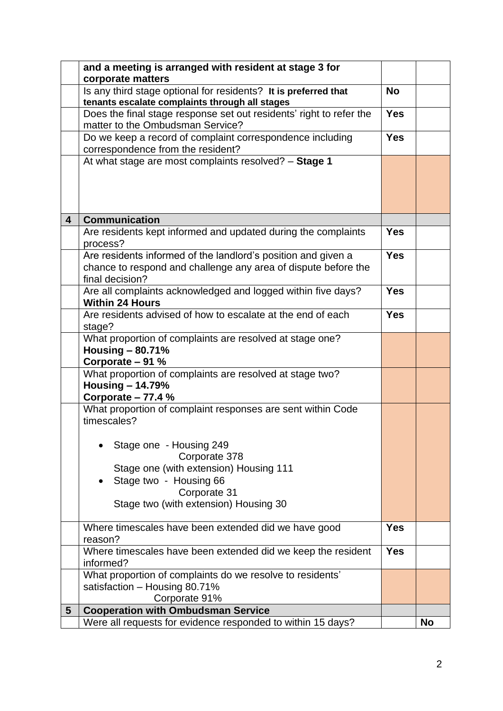|   | and a meeting is arranged with resident at stage 3 for                                                                                             |            |           |
|---|----------------------------------------------------------------------------------------------------------------------------------------------------|------------|-----------|
|   | corporate matters                                                                                                                                  |            |           |
|   | Is any third stage optional for residents? It is preferred that                                                                                    | <b>No</b>  |           |
|   | tenants escalate complaints through all stages                                                                                                     |            |           |
|   | Does the final stage response set out residents' right to refer the<br>matter to the Ombudsman Service?                                            | <b>Yes</b> |           |
|   | Do we keep a record of complaint correspondence including<br>correspondence from the resident?                                                     | <b>Yes</b> |           |
|   | At what stage are most complaints resolved? - Stage 1                                                                                              |            |           |
|   |                                                                                                                                                    |            |           |
| 4 | <b>Communication</b>                                                                                                                               |            |           |
|   | Are residents kept informed and updated during the complaints<br>process?                                                                          | <b>Yes</b> |           |
|   | Are residents informed of the landlord's position and given a<br>chance to respond and challenge any area of dispute before the<br>final decision? | <b>Yes</b> |           |
|   | Are all complaints acknowledged and logged within five days?<br><b>Within 24 Hours</b>                                                             | <b>Yes</b> |           |
|   | Are residents advised of how to escalate at the end of each<br>stage?                                                                              | <b>Yes</b> |           |
|   | What proportion of complaints are resolved at stage one?<br>Housing $-$ 80.71%<br>Corporate - 91 %                                                 |            |           |
|   | What proportion of complaints are resolved at stage two?<br>Housing $-14.79%$<br>Corporate $-77.4%$                                                |            |           |
|   | What proportion of complaint responses are sent within Code<br>timescales?                                                                         |            |           |
|   | Stage one - Housing 249<br>Corporate 378<br>Stage one (with extension) Housing 111<br>Stage two - Housing 66                                       |            |           |
|   | Corporate 31<br>Stage two (with extension) Housing 30                                                                                              |            |           |
|   | Where timescales have been extended did we have good<br>reason?                                                                                    | <b>Yes</b> |           |
|   | Where timescales have been extended did we keep the resident<br>informed?                                                                          | <b>Yes</b> |           |
|   | What proportion of complaints do we resolve to residents'<br>satisfaction - Housing 80.71%<br>Corporate 91%                                        |            |           |
| 5 | <b>Cooperation with Ombudsman Service</b>                                                                                                          |            |           |
|   | Were all requests for evidence responded to within 15 days?                                                                                        |            | <b>No</b> |
|   |                                                                                                                                                    |            |           |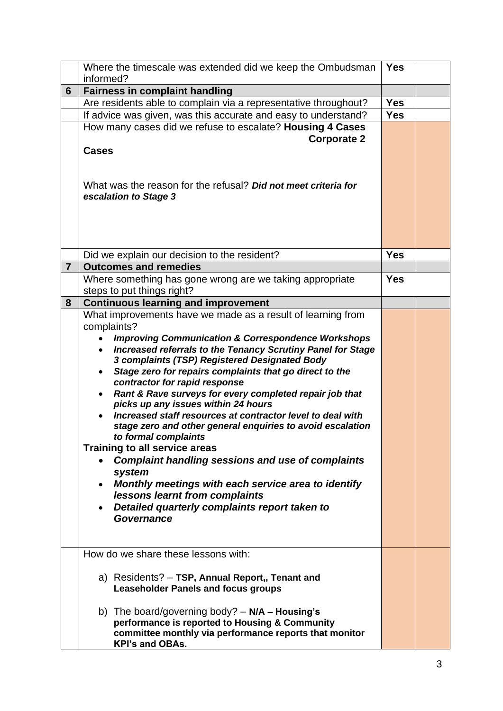|                | Where the timescale was extended did we keep the Ombudsman                         | <b>Yes</b>               |  |
|----------------|------------------------------------------------------------------------------------|--------------------------|--|
|                | informed?                                                                          |                          |  |
| 6              | <b>Fairness in complaint handling</b>                                              |                          |  |
|                | Are residents able to complain via a representative throughout?                    | <b>Yes</b><br><b>Yes</b> |  |
|                | If advice was given, was this accurate and easy to understand?                     |                          |  |
|                | How many cases did we refuse to escalate? Housing 4 Cases                          |                          |  |
|                | <b>Corporate 2</b><br><b>Cases</b>                                                 |                          |  |
|                |                                                                                    |                          |  |
|                |                                                                                    |                          |  |
|                | What was the reason for the refusal? Did not meet criteria for                     |                          |  |
|                | escalation to Stage 3                                                              |                          |  |
|                |                                                                                    |                          |  |
|                |                                                                                    |                          |  |
|                |                                                                                    |                          |  |
|                |                                                                                    |                          |  |
|                | Did we explain our decision to the resident?                                       | <b>Yes</b>               |  |
| $\overline{7}$ | <b>Outcomes and remedies</b>                                                       |                          |  |
|                | Where something has gone wrong are we taking appropriate                           | <b>Yes</b>               |  |
|                | steps to put things right?                                                         |                          |  |
| 8              | <b>Continuous learning and improvement</b>                                         |                          |  |
|                | What improvements have we made as a result of learning from                        |                          |  |
|                | complaints?                                                                        |                          |  |
|                | <b>Improving Communication &amp; Correspondence Workshops</b>                      |                          |  |
|                | Increased referrals to the Tenancy Scrutiny Panel for Stage                        |                          |  |
|                | 3 complaints (TSP) Registered Designated Body                                      |                          |  |
|                | Stage zero for repairs complaints that go direct to the                            |                          |  |
|                | contractor for rapid response                                                      |                          |  |
|                | Rant & Rave surveys for every completed repair job that                            |                          |  |
|                | picks up any issues within 24 hours                                                |                          |  |
|                | Increased staff resources at contractor level to deal with                         |                          |  |
|                | stage zero and other general enquiries to avoid escalation<br>to formal complaints |                          |  |
|                | <b>Training to all service areas</b>                                               |                          |  |
|                | <b>Complaint handling sessions and use of complaints</b>                           |                          |  |
|                | system                                                                             |                          |  |
|                | Monthly meetings with each service area to identify                                |                          |  |
|                | lessons learnt from complaints                                                     |                          |  |
|                | Detailed quarterly complaints report taken to                                      |                          |  |
|                | <b>Governance</b>                                                                  |                          |  |
|                |                                                                                    |                          |  |
|                |                                                                                    |                          |  |
|                | How do we share these lessons with:                                                |                          |  |
|                |                                                                                    |                          |  |
|                | a) Residents? - TSP, Annual Report,, Tenant and                                    |                          |  |
|                | <b>Leaseholder Panels and focus groups</b>                                         |                          |  |
|                |                                                                                    |                          |  |
|                | b) The board/governing body? $- N/A - Housing's$                                   |                          |  |
|                | performance is reported to Housing & Community                                     |                          |  |
|                | committee monthly via performance reports that monitor                             |                          |  |
|                | <b>KPI's and OBAs.</b>                                                             |                          |  |